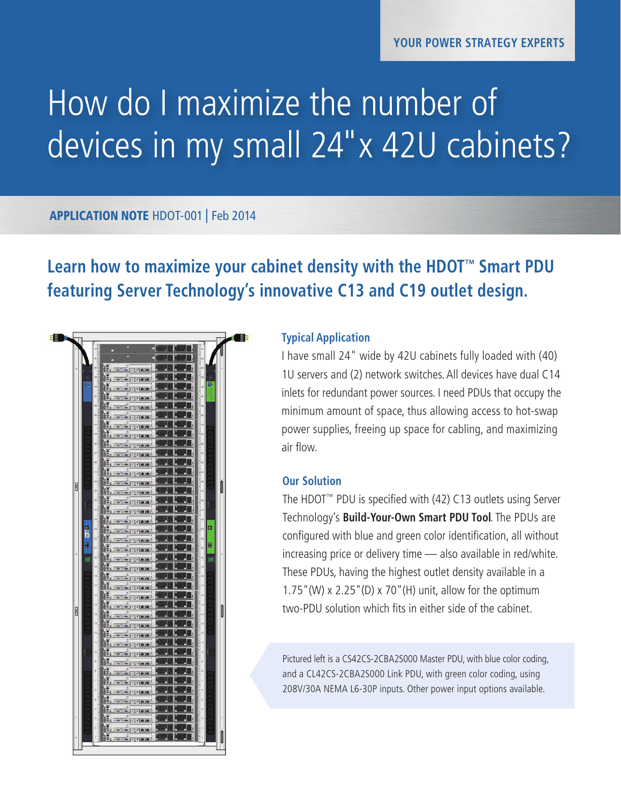## How do I maximize the number of devices in my small 24"x 42U cabinets?

### APPLICATION NOTE HDOT-001 | Feb 2014

## **Learn how to maximize your cabinet density with the HDOT™ Smart PDU featuring Server Technology's innovative C13 and C19 outlet design.**



#### **Typical Application**

I have small 24" wide by 42U cabinets fully loaded with (40) 1U servers and (2) network switches. All devices have dual C14 inlets for redundant power sources. I need PDUs that occupy the minimum amount of space, thus allowing access to hot-swap power supplies, freeing up space for cabling, and maximizing air flow.

#### **Our Solution**

The HDOT™ PDU is specified with (42) C13 outlets using Server Technology's **Build-Your-Own Smart PDU Tool**. The PDUs are configured with blue and green color identification, all without increasing price or delivery time — also available in red/white. These PDUs, having the highest outlet density available in a 1.75"(W) x 2.25"(D) x 70"(H) unit, allow for the optimum two-PDU solution which fits in either side of the cabinet.

Pictured left is a CS42CS-2CBA2S000 Master PDU, with blue color coding, and a CL42CS-2CBA2S000 Link PDU, with green color coding, using 208V/30A NEMA L6-30P inputs. Other power input options available.